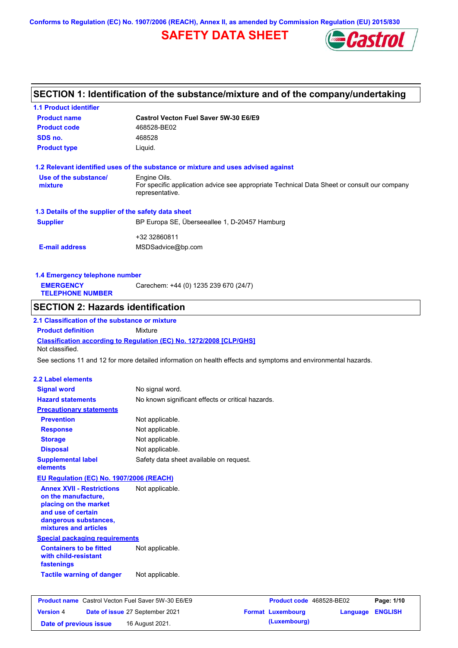**Conforms to Regulation (EC) No. 1907/2006 (REACH), Annex II, as amended by Commission Regulation (EU) 2015/830**

# **SAFETY DATA SHEET**



# **SECTION 1: Identification of the substance/mixture and of the company/undertaking**

| <b>1.1 Product identifier</b>                                                          |                                                   |                                                                                                                |                            |
|----------------------------------------------------------------------------------------|---------------------------------------------------|----------------------------------------------------------------------------------------------------------------|----------------------------|
| <b>Product name</b>                                                                    | Castrol Vecton Fuel Saver 5W-30 E6/E9             |                                                                                                                |                            |
| <b>Product code</b>                                                                    | 468528-BE02                                       |                                                                                                                |                            |
| SDS no.                                                                                | 468528                                            |                                                                                                                |                            |
| <b>Product type</b>                                                                    | Liquid.                                           |                                                                                                                |                            |
| 1.2 Relevant identified uses of the substance or mixture and uses advised against      |                                                   |                                                                                                                |                            |
| Use of the substance/                                                                  | Engine Oils.                                      |                                                                                                                |                            |
| mixture                                                                                | representative.                                   | For specific application advice see appropriate Technical Data Sheet or consult our company                    |                            |
| 1.3 Details of the supplier of the safety data sheet                                   |                                                   |                                                                                                                |                            |
| <b>Supplier</b>                                                                        | BP Europa SE, Überseeallee 1, D-20457 Hamburg     |                                                                                                                |                            |
|                                                                                        | +32 32860811                                      |                                                                                                                |                            |
| <b>E-mail address</b>                                                                  | MSDSadvice@bp.com                                 |                                                                                                                |                            |
| 1.4 Emergency telephone number                                                         |                                                   |                                                                                                                |                            |
| <b>EMERGENCY</b>                                                                       | Carechem: +44 (0) 1235 239 670 (24/7)             |                                                                                                                |                            |
| <b>TELEPHONE NUMBER</b>                                                                |                                                   |                                                                                                                |                            |
| <b>SECTION 2: Hazards identification</b>                                               |                                                   |                                                                                                                |                            |
| 2.1 Classification of the substance or mixture                                         |                                                   |                                                                                                                |                            |
| <b>Product definition</b>                                                              | Mixture                                           |                                                                                                                |                            |
| Classification according to Regulation (EC) No. 1272/2008 [CLP/GHS]<br>Not classified. |                                                   |                                                                                                                |                            |
|                                                                                        |                                                   | See sections 11 and 12 for more detailed information on health effects and symptoms and environmental hazards. |                            |
|                                                                                        |                                                   |                                                                                                                |                            |
| <b>2.2 Label elements</b>                                                              |                                                   |                                                                                                                |                            |
| <b>Signal word</b>                                                                     | No signal word.                                   |                                                                                                                |                            |
| <b>Hazard statements</b>                                                               | No known significant effects or critical hazards. |                                                                                                                |                            |
| <b>Precautionary statements</b>                                                        |                                                   |                                                                                                                |                            |
| <b>Prevention</b>                                                                      | Not applicable.                                   |                                                                                                                |                            |
| <b>Response</b>                                                                        | Not applicable.                                   |                                                                                                                |                            |
| <b>Storage</b>                                                                         | Not applicable.                                   |                                                                                                                |                            |
| <b>Disposal</b>                                                                        | Not applicable.                                   |                                                                                                                |                            |
| <b>Supplemental label</b><br>elements                                                  | Safety data sheet available on request.           |                                                                                                                |                            |
| EU Regulation (EC) No. 1907/2006 (REACH)                                               |                                                   |                                                                                                                |                            |
| <b>Annex XVII - Restrictions</b>                                                       | Not applicable.                                   |                                                                                                                |                            |
| on the manufacture.                                                                    |                                                   |                                                                                                                |                            |
| placing on the market                                                                  |                                                   |                                                                                                                |                            |
| and use of certain                                                                     |                                                   |                                                                                                                |                            |
| dangerous substances,<br>mixtures and articles                                         |                                                   |                                                                                                                |                            |
| <b>Special packaging requirements</b>                                                  |                                                   |                                                                                                                |                            |
| <b>Containers to be fitted</b>                                                         | Not applicable.                                   |                                                                                                                |                            |
| with child-resistant<br>fastenings                                                     |                                                   |                                                                                                                |                            |
| <b>Tactile warning of danger</b>                                                       | Not applicable.                                   |                                                                                                                |                            |
|                                                                                        |                                                   |                                                                                                                |                            |
| <b>Product name</b> Castrol Vecton Fuel Saver 5W-30 E6/E9                              |                                                   | Product code 468528-BE02                                                                                       | Page: 1/10                 |
| <b>Version 4</b>                                                                       | Date of issue 27 September 2021                   | <b>Format Luxembourg</b>                                                                                       | <b>ENGLISH</b><br>Language |

**Date of previous issue 16 August 2021. (Luxembourg)**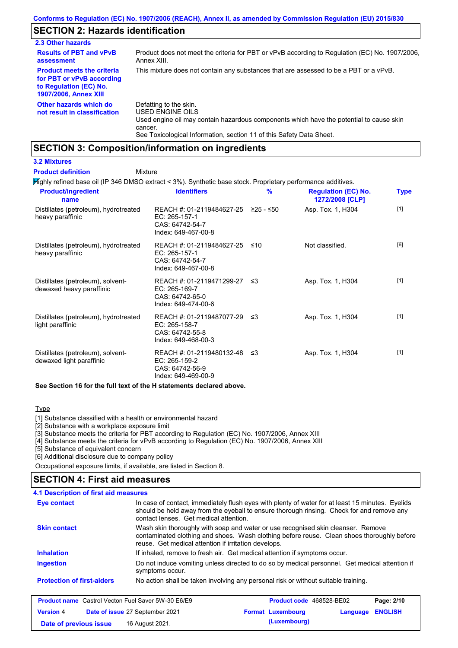# **SECTION 2: Hazards identification**

| 2.3 Other hazards                                                                                                        |                                                                                                                                                                                                                          |
|--------------------------------------------------------------------------------------------------------------------------|--------------------------------------------------------------------------------------------------------------------------------------------------------------------------------------------------------------------------|
| <b>Results of PBT and vPvB</b><br>assessment                                                                             | Product does not meet the criteria for PBT or vPvB according to Regulation (EC) No. 1907/2006.<br>Annex XIII.                                                                                                            |
| <b>Product meets the criteria</b><br>for PBT or vPvB according<br>to Regulation (EC) No.<br><b>1907/2006, Annex XIII</b> | This mixture does not contain any substances that are assessed to be a PBT or a vPvB.                                                                                                                                    |
| Other hazards which do<br>not result in classification                                                                   | Defatting to the skin.<br>USED ENGINE OILS<br>Used engine oil may contain hazardous components which have the potential to cause skin<br>cancer.<br>See Toxicological Information, section 11 of this Safety Data Sheet. |

## **SECTION 3: Composition/information on ingredients**

#### **3.2 Mixtures**

Mixture **Product definition**

Highly refined base oil (IP 346 DMSO extract < 3%). Synthetic base stock. Proprietary performance additives.

| <b>Product/ingredient</b><br>name                             | <b>Identifiers</b>                                                                      | $\frac{9}{6}$ | <b>Regulation (EC) No.</b><br>1272/2008 [CLP] | Type  |
|---------------------------------------------------------------|-----------------------------------------------------------------------------------------|---------------|-----------------------------------------------|-------|
| Distillates (petroleum), hydrotreated<br>heavy paraffinic     | REACH #: 01-2119484627-25<br>EC: 265-157-1<br>CAS: 64742-54-7<br>Index: 649-467-00-8    | 225 - ≤50     | Asp. Tox. 1, H304                             | $[1]$ |
| Distillates (petroleum), hydrotreated<br>heavy paraffinic     | REACH #: 01-2119484627-25<br>EC: 265-157-1<br>CAS: 64742-54-7<br>Index: 649-467-00-8    | ≤10           | Not classified.                               | [6]   |
| Distillates (petroleum), solvent-<br>dewaxed heavy paraffinic | REACH #: 01-2119471299-27 ≤3<br>EC: 265-169-7<br>CAS: 64742-65-0<br>Index: 649-474-00-6 |               | Asp. Tox. 1, H304                             | $[1]$ |
| Distillates (petroleum), hydrotreated<br>light paraffinic     | REACH #: 01-2119487077-29 ≤3<br>EC: 265-158-7<br>CAS: 64742-55-8<br>Index: 649-468-00-3 |               | Asp. Tox. 1, H304                             | $[1]$ |
| Distillates (petroleum), solvent-<br>dewaxed light paraffinic | REACH #: 01-2119480132-48<br>EC: 265-159-2<br>CAS: 64742-56-9<br>Index: 649-469-00-9    | -≤3           | Asp. Tox. 1, H304                             | $[1]$ |

**See Section 16 for the full text of the H statements declared above.**

#### **Type**

[1] Substance classified with a health or environmental hazard

[2] Substance with a workplace exposure limit

[3] Substance meets the criteria for PBT according to Regulation (EC) No. 1907/2006, Annex XIII

[4] Substance meets the criteria for vPvB according to Regulation (EC) No. 1907/2006, Annex XIII

[5] Substance of equivalent concern

[6] Additional disclosure due to company policy

Occupational exposure limits, if available, are listed in Section 8.

## **SECTION 4: First aid measures**

#### **4.1 Description of first aid measures**

| Eye contact                                               | In case of contact, immediately flush eyes with plenty of water for at least 15 minutes. Eyelids<br>should be held away from the eyeball to ensure thorough rinsing. Check for and remove any<br>contact lenses. Get medical attention. |
|-----------------------------------------------------------|-----------------------------------------------------------------------------------------------------------------------------------------------------------------------------------------------------------------------------------------|
| <b>Skin contact</b>                                       | Wash skin thoroughly with soap and water or use recognised skin cleanser. Remove<br>contaminated clothing and shoes. Wash clothing before reuse. Clean shoes thoroughly before<br>reuse. Get medical attention if irritation develops.  |
| <b>Inhalation</b>                                         | If inhaled, remove to fresh air. Get medical attention if symptoms occur.                                                                                                                                                               |
| <b>Ingestion</b>                                          | Do not induce vomiting unless directed to do so by medical personnel. Get medical attention if<br>symptoms occur.                                                                                                                       |
| <b>Protection of first-aiders</b>                         | No action shall be taken involving any personal risk or without suitable training.                                                                                                                                                      |
| <b>Product name</b> Castrol Vecton Fuel Saver 5W-30 E6/E9 | <b>Product code</b> 468528-BE02<br>Page: 2/10                                                                                                                                                                                           |
| <b>Version 4</b>                                          | <b>ENGLISH</b><br><b>Format Luxembourg</b><br>Date of issue 27 September 2021<br>Language                                                                                                                                               |
| Date of previous issue                                    | (Luxembourg)<br>16 August 2021.                                                                                                                                                                                                         |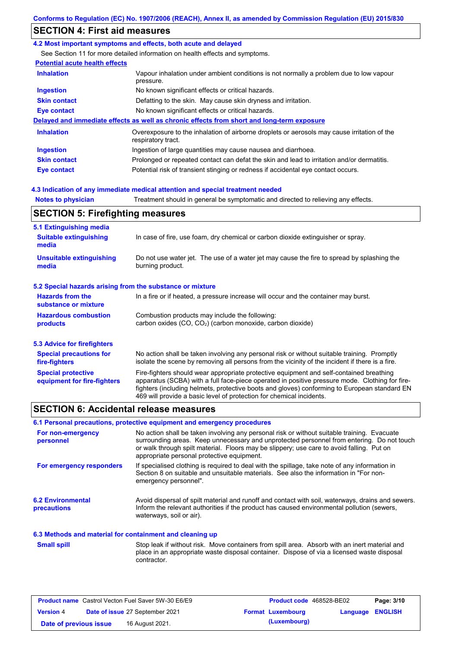## **SECTION 4: First aid measures**

#### **4.2 Most important symptoms and effects, both acute and delayed**

See Section 11 for more detailed information on health effects and symptoms.

## **Potential acute health effects**

| <b>Inhalation</b>   | Vapour inhalation under ambient conditions is not normally a problem due to low vapour<br>pressure.               |
|---------------------|-------------------------------------------------------------------------------------------------------------------|
| <b>Ingestion</b>    | No known significant effects or critical hazards.                                                                 |
| <b>Skin contact</b> | Defatting to the skin. May cause skin dryness and irritation.                                                     |
| Eye contact         | No known significant effects or critical hazards.                                                                 |
|                     | Delayed and immediate effects as well as chronic effects from short and long-term exposure                        |
| <b>Inhalation</b>   | Overexposure to the inhalation of airborne droplets or aerosols may cause irritation of the<br>respiratory tract. |
| <b>Ingestion</b>    | Ingestion of large quantities may cause nausea and diarrhoea.                                                     |
| <b>Skin contact</b> | Prolonged or repeated contact can defat the skin and lead to irritation and/or dermatitis.                        |
| Eye contact         | Potential risk of transient stinging or redness if accidental eye contact occurs.                                 |

#### **4.3 Indication of any immediate medical attention and special treatment needed**

**Notes to physician** Treatment should in general be symptomatic and directed to relieving any effects.

| <b>SECTION 5: Firefighting measures</b>                           |                                                                                                                                                                                                                                                                                                                                                                   |  |  |
|-------------------------------------------------------------------|-------------------------------------------------------------------------------------------------------------------------------------------------------------------------------------------------------------------------------------------------------------------------------------------------------------------------------------------------------------------|--|--|
| 5.1 Extinguishing media<br><b>Suitable extinguishing</b><br>media | In case of fire, use foam, dry chemical or carbon dioxide extinguisher or spray.                                                                                                                                                                                                                                                                                  |  |  |
| <b>Unsuitable extinguishing</b><br>media                          | Do not use water jet. The use of a water jet may cause the fire to spread by splashing the<br>burning product.                                                                                                                                                                                                                                                    |  |  |
| 5.2 Special hazards arising from the substance or mixture         |                                                                                                                                                                                                                                                                                                                                                                   |  |  |
| <b>Hazards from the</b><br>substance or mixture                   | In a fire or if heated, a pressure increase will occur and the container may burst.                                                                                                                                                                                                                                                                               |  |  |
| <b>Hazardous combustion</b><br>products                           | Combustion products may include the following:<br>carbon oxides (CO, CO <sub>2</sub> ) (carbon monoxide, carbon dioxide)                                                                                                                                                                                                                                          |  |  |
| 5.3 Advice for firefighters                                       |                                                                                                                                                                                                                                                                                                                                                                   |  |  |
| <b>Special precautions for</b><br>fire-fighters                   | No action shall be taken involving any personal risk or without suitable training. Promptly<br>isolate the scene by removing all persons from the vicinity of the incident if there is a fire.                                                                                                                                                                    |  |  |
| <b>Special protective</b><br>equipment for fire-fighters          | Fire-fighters should wear appropriate protective equipment and self-contained breathing<br>apparatus (SCBA) with a full face-piece operated in positive pressure mode. Clothing for fire-<br>fighters (including helmets, protective boots and gloves) conforming to European standard EN<br>469 will provide a basic level of protection for chemical incidents. |  |  |

## **SECTION 6: Accidental release measures**

### **6.1 Personal precautions, protective equipment and emergency procedures**

| For non-emergency<br>personnel                           | No action shall be taken involving any personal risk or without suitable training. Evacuate<br>surrounding areas. Keep unnecessary and unprotected personnel from entering. Do not touch<br>or walk through spilt material. Floors may be slippery; use care to avoid falling. Put on<br>appropriate personal protective equipment. |
|----------------------------------------------------------|-------------------------------------------------------------------------------------------------------------------------------------------------------------------------------------------------------------------------------------------------------------------------------------------------------------------------------------|
| For emergency responders                                 | If specialised clothing is required to deal with the spillage, take note of any information in<br>Section 8 on suitable and unsuitable materials. See also the information in "For non-<br>emergency personnel".                                                                                                                    |
| <b>6.2 Environmental</b><br><b>precautions</b>           | Avoid dispersal of spilt material and runoff and contact with soil, waterways, drains and sewers.<br>Inform the relevant authorities if the product has caused environmental pollution (sewers,<br>waterways, soil or air).                                                                                                         |
| 6.3 Methods and material for containment and cleaning up |                                                                                                                                                                                                                                                                                                                                     |
| <b>Small spill</b>                                       | Stop leak if without risk. Move containers from spill area. Absorb with an inert material and<br>place in an appropriate waste disposal container. Dispose of via a licensed waste disposal<br>contractor.                                                                                                                          |

|                        | <b>Product name</b> Castrol Vecton Fuel Saver 5W-30 E6/E9 | <b>Product code</b> 468528-BE02 |                         | Page: 3/10 |
|------------------------|-----------------------------------------------------------|---------------------------------|-------------------------|------------|
| <b>Version 4</b>       | Date of issue 27 September 2021                           | <b>Format Luxembourg</b>        | <b>Language ENGLISH</b> |            |
| Date of previous issue | 16 August 2021.                                           | (Luxembourg)                    |                         |            |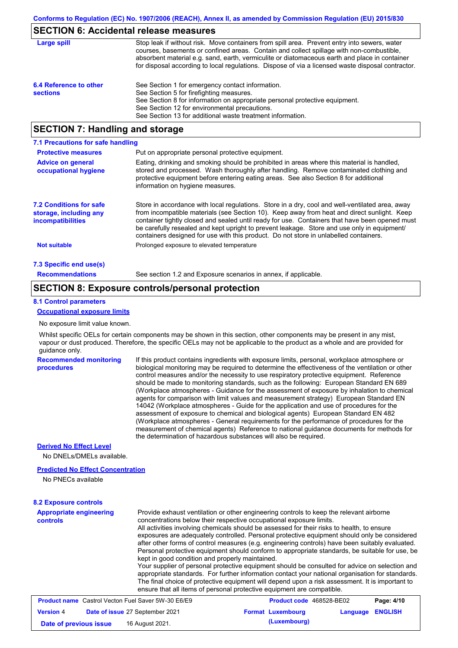## **SECTION 6: Accidental release measures**

| Large spill                               | Stop leak if without risk. Move containers from spill area. Prevent entry into sewers, water<br>courses, basements or confined areas. Contain and collect spillage with non-combustible,<br>absorbent material e.g. sand, earth, vermiculite or diatomaceous earth and place in container<br>for disposal according to local regulations. Dispose of via a licensed waste disposal contractor. |
|-------------------------------------------|------------------------------------------------------------------------------------------------------------------------------------------------------------------------------------------------------------------------------------------------------------------------------------------------------------------------------------------------------------------------------------------------|
| 6.4 Reference to other<br><b>sections</b> | See Section 1 for emergency contact information.<br>See Section 5 for firefighting measures.<br>See Section 8 for information on appropriate personal protective equipment.<br>See Section 12 for environmental precautions.<br>See Section 13 for additional waste treatment information.                                                                                                     |

## **SECTION 7: Handling and storage**

| 7.1 Precautions for safe handling                                                    |                                                                                                                                                                                                                                                                                                                                                                                                                                                                                          |
|--------------------------------------------------------------------------------------|------------------------------------------------------------------------------------------------------------------------------------------------------------------------------------------------------------------------------------------------------------------------------------------------------------------------------------------------------------------------------------------------------------------------------------------------------------------------------------------|
| <b>Protective measures</b>                                                           | Put on appropriate personal protective equipment.                                                                                                                                                                                                                                                                                                                                                                                                                                        |
| <b>Advice on general</b><br>occupational hygiene                                     | Eating, drinking and smoking should be prohibited in areas where this material is handled.<br>stored and processed. Wash thoroughly after handling. Remove contaminated clothing and<br>protective equipment before entering eating areas. See also Section 8 for additional<br>information on hygiene measures.                                                                                                                                                                         |
| <b>7.2 Conditions for safe</b><br>storage, including any<br><i>incompatibilities</i> | Store in accordance with local regulations. Store in a dry, cool and well-ventilated area, away<br>from incompatible materials (see Section 10). Keep away from heat and direct sunlight. Keep<br>container tightly closed and sealed until ready for use. Containers that have been opened must<br>be carefully resealed and kept upright to prevent leakage. Store and use only in equipment/<br>containers designed for use with this product. Do not store in unlabelled containers. |
| <b>Not suitable</b>                                                                  | Prolonged exposure to elevated temperature                                                                                                                                                                                                                                                                                                                                                                                                                                               |
| 7.3 Specific end use(s)                                                              |                                                                                                                                                                                                                                                                                                                                                                                                                                                                                          |
| <b>Recommendations</b>                                                               | See section 1.2 and Exposure scenarios in annex, if applicable.                                                                                                                                                                                                                                                                                                                                                                                                                          |

### **SECTION 8: Exposure controls/personal protection**

#### **8.1 Control parameters**

#### **Occupational exposure limits**

No exposure limit value known.

Whilst specific OELs for certain components may be shown in this section, other components may be present in any mist, vapour or dust produced. Therefore, the specific OELs may not be applicable to the product as a whole and are provided for guidance only.

#### **Recommended monitoring procedures**

If this product contains ingredients with exposure limits, personal, workplace atmosphere or biological monitoring may be required to determine the effectiveness of the ventilation or other control measures and/or the necessity to use respiratory protective equipment. Reference should be made to monitoring standards, such as the following: European Standard EN 689 (Workplace atmospheres - Guidance for the assessment of exposure by inhalation to chemical agents for comparison with limit values and measurement strategy) European Standard EN 14042 (Workplace atmospheres - Guide for the application and use of procedures for the assessment of exposure to chemical and biological agents) European Standard EN 482 (Workplace atmospheres - General requirements for the performance of procedures for the measurement of chemical agents) Reference to national guidance documents for methods for the determination of hazardous substances will also be required.

#### **Derived No Effect Level**

No DNELs/DMELs available.

#### **Predicted No Effect Concentration**

No PNECs available

#### **8.2 Exposure controls**

| <b>Appropriate engineering</b><br>controls | Provide exhaust ventilation or other engineering controls to keep the relevant airborne<br>concentrations below their respective occupational exposure limits.<br>All activities involving chemicals should be assessed for their risks to health, to ensure<br>exposures are adequately controlled. Personal protective equipment should only be considered<br>after other forms of control measures (e.g. engineering controls) have been suitably evaluated.<br>Personal protective equipment should conform to appropriate standards, be suitable for use, be<br>kept in good condition and properly maintained.<br>Your supplier of personal protective equipment should be consulted for advice on selection and<br>appropriate standards. For further information contact your national organisation for standards.<br>The final choice of protective equipment will depend upon a risk assessment. It is important to<br>ensure that all items of personal protective equipment are compatible. |                                 |          |                |
|--------------------------------------------|---------------------------------------------------------------------------------------------------------------------------------------------------------------------------------------------------------------------------------------------------------------------------------------------------------------------------------------------------------------------------------------------------------------------------------------------------------------------------------------------------------------------------------------------------------------------------------------------------------------------------------------------------------------------------------------------------------------------------------------------------------------------------------------------------------------------------------------------------------------------------------------------------------------------------------------------------------------------------------------------------------|---------------------------------|----------|----------------|
|                                            | <b>Product name</b> Castrol Vecton Fuel Saver 5W-30 E6/E9                                                                                                                                                                                                                                                                                                                                                                                                                                                                                                                                                                                                                                                                                                                                                                                                                                                                                                                                               | <b>Product code</b> 468528-BE02 |          | Page: 4/10     |
| <b>Version 4</b>                           | Date of issue 27 September 2021                                                                                                                                                                                                                                                                                                                                                                                                                                                                                                                                                                                                                                                                                                                                                                                                                                                                                                                                                                         | <b>Format Luxembourg</b>        | Language | <b>ENGLISH</b> |

**Date of previous issue 16 August 2021. (Luxembourg)** (Luxembourg)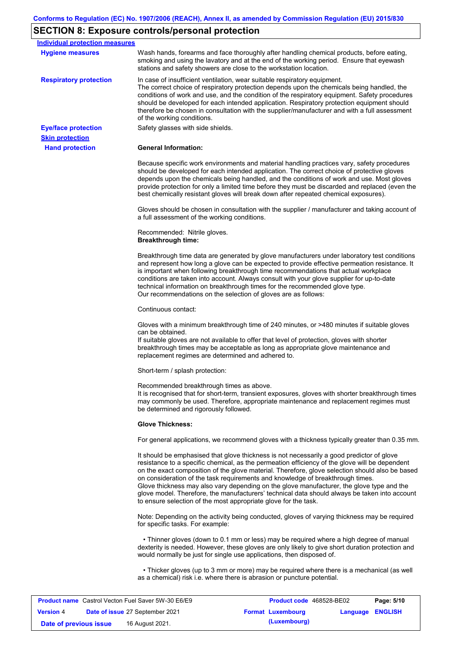# **SECTION 8: Exposure controls/personal protection**

| Wash hands, forearms and face thoroughly after handling chemical products, before eating,<br><b>Hygiene measures</b><br>smoking and using the lavatory and at the end of the working period. Ensure that eyewash<br>stations and safety showers are close to the workstation location.<br>In case of insufficient ventilation, wear suitable respiratory equipment.<br>The correct choice of respiratory protection depends upon the chemicals being handled, the<br>conditions of work and use, and the condition of the respiratory equipment. Safety procedures<br>should be developed for each intended application. Respiratory protection equipment should<br>therefore be chosen in consultation with the supplier/manufacturer and with a full assessment<br>of the working conditions.<br>Safety glasses with side shields.<br><b>Hand protection</b><br><b>General Information:</b><br>Because specific work environments and material handling practices vary, safety procedures<br>should be developed for each intended application. The correct choice of protective gloves<br>depends upon the chemicals being handled, and the conditions of work and use. Most gloves<br>best chemically resistant gloves will break down after repeated chemical exposures).<br>a full assessment of the working conditions.<br>Recommended: Nitrile gloves.<br><b>Breakthrough time:</b><br>and represent how long a glove can be expected to provide effective permeation resistance. It<br>is important when following breakthrough time recommendations that actual workplace<br>conditions are taken into account. Always consult with your glove supplier for up-to-date<br>technical information on breakthrough times for the recommended glove type.<br>Our recommendations on the selection of gloves are as follows:<br>Continuous contact:<br>Gloves with a minimum breakthrough time of 240 minutes, or >480 minutes if suitable gloves<br>can be obtained.<br>If suitable gloves are not available to offer that level of protection, gloves with shorter<br>breakthrough times may be acceptable as long as appropriate glove maintenance and<br>replacement regimes are determined and adhered to.<br>Short-term / splash protection:<br>Recommended breakthrough times as above.<br>may commonly be used. Therefore, appropriate maintenance and replacement regimes must<br>be determined and rigorously followed.<br><b>Glove Thickness:</b><br>It should be emphasised that glove thickness is not necessarily a good predictor of glove<br>resistance to a specific chemical, as the permeation efficiency of the glove will be dependent<br>on consideration of the task requirements and knowledge of breakthrough times.<br>Glove thickness may also vary depending on the glove manufacturer, the glove type and the<br>to ensure selection of the most appropriate glove for the task.<br>Note: Depending on the activity being conducted, gloves of varying thickness may be required<br>for specific tasks. For example:<br>• Thinner gloves (down to 0.1 mm or less) may be required where a high degree of manual<br>dexterity is needed. However, these gloves are only likely to give short duration protection and<br>would normally be just for single use applications, then disposed of.<br>• Thicker gloves (up to 3 mm or more) may be required where there is a mechanical (as well<br>as a chemical) risk i.e. where there is abrasion or puncture potential.<br>Control Vonton Eugl Cover 511/20 EQ/EQ<br><b>Draduat and ACOEDO DEDO</b><br>Dao: E/4A | <b>Individual protection measures</b> |                                                                                                                                                                                                  |
|--------------------------------------------------------------------------------------------------------------------------------------------------------------------------------------------------------------------------------------------------------------------------------------------------------------------------------------------------------------------------------------------------------------------------------------------------------------------------------------------------------------------------------------------------------------------------------------------------------------------------------------------------------------------------------------------------------------------------------------------------------------------------------------------------------------------------------------------------------------------------------------------------------------------------------------------------------------------------------------------------------------------------------------------------------------------------------------------------------------------------------------------------------------------------------------------------------------------------------------------------------------------------------------------------------------------------------------------------------------------------------------------------------------------------------------------------------------------------------------------------------------------------------------------------------------------------------------------------------------------------------------------------------------------------------------------------------------------------------------------------------------------------------------------------------------------------------------------------------------------------------------------------------------------------------------------------------------------------------------------------------------------------------------------------------------------------------------------------------------------------------------------------------------------------------------------------------------------------------------------------------------------------------------------------------------------------------------------------------------------------------------------------------------------------------------------------------------------------------------------------------------------------------------------------------------------------------------------------------------------------------------------------------------------------------------------------------------------------------------------------------------------------------------------------------------------------------------------------------------------------------------------------------------------------------------------------------------------------------------------------------------------------------------------------------------------------------------------------------------------------------------------------------------------------------------------------------------------------------------------------------------------------------------------------------------------------------------------------------------------------------------------------------------------------------------------------------------------------------------------------------------------------------------------------------------------------------------------------|---------------------------------------|--------------------------------------------------------------------------------------------------------------------------------------------------------------------------------------------------|
|                                                                                                                                                                                                                                                                                                                                                                                                                                                                                                                                                                                                                                                                                                                                                                                                                                                                                                                                                                                                                                                                                                                                                                                                                                                                                                                                                                                                                                                                                                                                                                                                                                                                                                                                                                                                                                                                                                                                                                                                                                                                                                                                                                                                                                                                                                                                                                                                                                                                                                                                                                                                                                                                                                                                                                                                                                                                                                                                                                                                                                                                                                                                                                                                                                                                                                                                                                                                                                                                                                                                                                                                  |                                       |                                                                                                                                                                                                  |
|                                                                                                                                                                                                                                                                                                                                                                                                                                                                                                                                                                                                                                                                                                                                                                                                                                                                                                                                                                                                                                                                                                                                                                                                                                                                                                                                                                                                                                                                                                                                                                                                                                                                                                                                                                                                                                                                                                                                                                                                                                                                                                                                                                                                                                                                                                                                                                                                                                                                                                                                                                                                                                                                                                                                                                                                                                                                                                                                                                                                                                                                                                                                                                                                                                                                                                                                                                                                                                                                                                                                                                                                  |                                       |                                                                                                                                                                                                  |
|                                                                                                                                                                                                                                                                                                                                                                                                                                                                                                                                                                                                                                                                                                                                                                                                                                                                                                                                                                                                                                                                                                                                                                                                                                                                                                                                                                                                                                                                                                                                                                                                                                                                                                                                                                                                                                                                                                                                                                                                                                                                                                                                                                                                                                                                                                                                                                                                                                                                                                                                                                                                                                                                                                                                                                                                                                                                                                                                                                                                                                                                                                                                                                                                                                                                                                                                                                                                                                                                                                                                                                                                  | <b>Respiratory protection</b>         |                                                                                                                                                                                                  |
|                                                                                                                                                                                                                                                                                                                                                                                                                                                                                                                                                                                                                                                                                                                                                                                                                                                                                                                                                                                                                                                                                                                                                                                                                                                                                                                                                                                                                                                                                                                                                                                                                                                                                                                                                                                                                                                                                                                                                                                                                                                                                                                                                                                                                                                                                                                                                                                                                                                                                                                                                                                                                                                                                                                                                                                                                                                                                                                                                                                                                                                                                                                                                                                                                                                                                                                                                                                                                                                                                                                                                                                                  | <b>Eye/face protection</b>            |                                                                                                                                                                                                  |
|                                                                                                                                                                                                                                                                                                                                                                                                                                                                                                                                                                                                                                                                                                                                                                                                                                                                                                                                                                                                                                                                                                                                                                                                                                                                                                                                                                                                                                                                                                                                                                                                                                                                                                                                                                                                                                                                                                                                                                                                                                                                                                                                                                                                                                                                                                                                                                                                                                                                                                                                                                                                                                                                                                                                                                                                                                                                                                                                                                                                                                                                                                                                                                                                                                                                                                                                                                                                                                                                                                                                                                                                  | <b>Skin protection</b>                |                                                                                                                                                                                                  |
|                                                                                                                                                                                                                                                                                                                                                                                                                                                                                                                                                                                                                                                                                                                                                                                                                                                                                                                                                                                                                                                                                                                                                                                                                                                                                                                                                                                                                                                                                                                                                                                                                                                                                                                                                                                                                                                                                                                                                                                                                                                                                                                                                                                                                                                                                                                                                                                                                                                                                                                                                                                                                                                                                                                                                                                                                                                                                                                                                                                                                                                                                                                                                                                                                                                                                                                                                                                                                                                                                                                                                                                                  |                                       |                                                                                                                                                                                                  |
|                                                                                                                                                                                                                                                                                                                                                                                                                                                                                                                                                                                                                                                                                                                                                                                                                                                                                                                                                                                                                                                                                                                                                                                                                                                                                                                                                                                                                                                                                                                                                                                                                                                                                                                                                                                                                                                                                                                                                                                                                                                                                                                                                                                                                                                                                                                                                                                                                                                                                                                                                                                                                                                                                                                                                                                                                                                                                                                                                                                                                                                                                                                                                                                                                                                                                                                                                                                                                                                                                                                                                                                                  |                                       | provide protection for only a limited time before they must be discarded and replaced (even the                                                                                                  |
|                                                                                                                                                                                                                                                                                                                                                                                                                                                                                                                                                                                                                                                                                                                                                                                                                                                                                                                                                                                                                                                                                                                                                                                                                                                                                                                                                                                                                                                                                                                                                                                                                                                                                                                                                                                                                                                                                                                                                                                                                                                                                                                                                                                                                                                                                                                                                                                                                                                                                                                                                                                                                                                                                                                                                                                                                                                                                                                                                                                                                                                                                                                                                                                                                                                                                                                                                                                                                                                                                                                                                                                                  |                                       | Gloves should be chosen in consultation with the supplier / manufacturer and taking account of                                                                                                   |
|                                                                                                                                                                                                                                                                                                                                                                                                                                                                                                                                                                                                                                                                                                                                                                                                                                                                                                                                                                                                                                                                                                                                                                                                                                                                                                                                                                                                                                                                                                                                                                                                                                                                                                                                                                                                                                                                                                                                                                                                                                                                                                                                                                                                                                                                                                                                                                                                                                                                                                                                                                                                                                                                                                                                                                                                                                                                                                                                                                                                                                                                                                                                                                                                                                                                                                                                                                                                                                                                                                                                                                                                  |                                       |                                                                                                                                                                                                  |
|                                                                                                                                                                                                                                                                                                                                                                                                                                                                                                                                                                                                                                                                                                                                                                                                                                                                                                                                                                                                                                                                                                                                                                                                                                                                                                                                                                                                                                                                                                                                                                                                                                                                                                                                                                                                                                                                                                                                                                                                                                                                                                                                                                                                                                                                                                                                                                                                                                                                                                                                                                                                                                                                                                                                                                                                                                                                                                                                                                                                                                                                                                                                                                                                                                                                                                                                                                                                                                                                                                                                                                                                  |                                       | Breakthrough time data are generated by glove manufacturers under laboratory test conditions                                                                                                     |
|                                                                                                                                                                                                                                                                                                                                                                                                                                                                                                                                                                                                                                                                                                                                                                                                                                                                                                                                                                                                                                                                                                                                                                                                                                                                                                                                                                                                                                                                                                                                                                                                                                                                                                                                                                                                                                                                                                                                                                                                                                                                                                                                                                                                                                                                                                                                                                                                                                                                                                                                                                                                                                                                                                                                                                                                                                                                                                                                                                                                                                                                                                                                                                                                                                                                                                                                                                                                                                                                                                                                                                                                  |                                       |                                                                                                                                                                                                  |
|                                                                                                                                                                                                                                                                                                                                                                                                                                                                                                                                                                                                                                                                                                                                                                                                                                                                                                                                                                                                                                                                                                                                                                                                                                                                                                                                                                                                                                                                                                                                                                                                                                                                                                                                                                                                                                                                                                                                                                                                                                                                                                                                                                                                                                                                                                                                                                                                                                                                                                                                                                                                                                                                                                                                                                                                                                                                                                                                                                                                                                                                                                                                                                                                                                                                                                                                                                                                                                                                                                                                                                                                  |                                       |                                                                                                                                                                                                  |
|                                                                                                                                                                                                                                                                                                                                                                                                                                                                                                                                                                                                                                                                                                                                                                                                                                                                                                                                                                                                                                                                                                                                                                                                                                                                                                                                                                                                                                                                                                                                                                                                                                                                                                                                                                                                                                                                                                                                                                                                                                                                                                                                                                                                                                                                                                                                                                                                                                                                                                                                                                                                                                                                                                                                                                                                                                                                                                                                                                                                                                                                                                                                                                                                                                                                                                                                                                                                                                                                                                                                                                                                  |                                       |                                                                                                                                                                                                  |
|                                                                                                                                                                                                                                                                                                                                                                                                                                                                                                                                                                                                                                                                                                                                                                                                                                                                                                                                                                                                                                                                                                                                                                                                                                                                                                                                                                                                                                                                                                                                                                                                                                                                                                                                                                                                                                                                                                                                                                                                                                                                                                                                                                                                                                                                                                                                                                                                                                                                                                                                                                                                                                                                                                                                                                                                                                                                                                                                                                                                                                                                                                                                                                                                                                                                                                                                                                                                                                                                                                                                                                                                  |                                       | It is recognised that for short-term, transient exposures, gloves with shorter breakthrough times                                                                                                |
|                                                                                                                                                                                                                                                                                                                                                                                                                                                                                                                                                                                                                                                                                                                                                                                                                                                                                                                                                                                                                                                                                                                                                                                                                                                                                                                                                                                                                                                                                                                                                                                                                                                                                                                                                                                                                                                                                                                                                                                                                                                                                                                                                                                                                                                                                                                                                                                                                                                                                                                                                                                                                                                                                                                                                                                                                                                                                                                                                                                                                                                                                                                                                                                                                                                                                                                                                                                                                                                                                                                                                                                                  |                                       |                                                                                                                                                                                                  |
|                                                                                                                                                                                                                                                                                                                                                                                                                                                                                                                                                                                                                                                                                                                                                                                                                                                                                                                                                                                                                                                                                                                                                                                                                                                                                                                                                                                                                                                                                                                                                                                                                                                                                                                                                                                                                                                                                                                                                                                                                                                                                                                                                                                                                                                                                                                                                                                                                                                                                                                                                                                                                                                                                                                                                                                                                                                                                                                                                                                                                                                                                                                                                                                                                                                                                                                                                                                                                                                                                                                                                                                                  |                                       | For general applications, we recommend gloves with a thickness typically greater than 0.35 mm.                                                                                                   |
|                                                                                                                                                                                                                                                                                                                                                                                                                                                                                                                                                                                                                                                                                                                                                                                                                                                                                                                                                                                                                                                                                                                                                                                                                                                                                                                                                                                                                                                                                                                                                                                                                                                                                                                                                                                                                                                                                                                                                                                                                                                                                                                                                                                                                                                                                                                                                                                                                                                                                                                                                                                                                                                                                                                                                                                                                                                                                                                                                                                                                                                                                                                                                                                                                                                                                                                                                                                                                                                                                                                                                                                                  |                                       | on the exact composition of the glove material. Therefore, glove selection should also be based<br>glove model. Therefore, the manufacturers' technical data should always be taken into account |
|                                                                                                                                                                                                                                                                                                                                                                                                                                                                                                                                                                                                                                                                                                                                                                                                                                                                                                                                                                                                                                                                                                                                                                                                                                                                                                                                                                                                                                                                                                                                                                                                                                                                                                                                                                                                                                                                                                                                                                                                                                                                                                                                                                                                                                                                                                                                                                                                                                                                                                                                                                                                                                                                                                                                                                                                                                                                                                                                                                                                                                                                                                                                                                                                                                                                                                                                                                                                                                                                                                                                                                                                  |                                       |                                                                                                                                                                                                  |
|                                                                                                                                                                                                                                                                                                                                                                                                                                                                                                                                                                                                                                                                                                                                                                                                                                                                                                                                                                                                                                                                                                                                                                                                                                                                                                                                                                                                                                                                                                                                                                                                                                                                                                                                                                                                                                                                                                                                                                                                                                                                                                                                                                                                                                                                                                                                                                                                                                                                                                                                                                                                                                                                                                                                                                                                                                                                                                                                                                                                                                                                                                                                                                                                                                                                                                                                                                                                                                                                                                                                                                                                  |                                       |                                                                                                                                                                                                  |
|                                                                                                                                                                                                                                                                                                                                                                                                                                                                                                                                                                                                                                                                                                                                                                                                                                                                                                                                                                                                                                                                                                                                                                                                                                                                                                                                                                                                                                                                                                                                                                                                                                                                                                                                                                                                                                                                                                                                                                                                                                                                                                                                                                                                                                                                                                                                                                                                                                                                                                                                                                                                                                                                                                                                                                                                                                                                                                                                                                                                                                                                                                                                                                                                                                                                                                                                                                                                                                                                                                                                                                                                  |                                       |                                                                                                                                                                                                  |
|                                                                                                                                                                                                                                                                                                                                                                                                                                                                                                                                                                                                                                                                                                                                                                                                                                                                                                                                                                                                                                                                                                                                                                                                                                                                                                                                                                                                                                                                                                                                                                                                                                                                                                                                                                                                                                                                                                                                                                                                                                                                                                                                                                                                                                                                                                                                                                                                                                                                                                                                                                                                                                                                                                                                                                                                                                                                                                                                                                                                                                                                                                                                                                                                                                                                                                                                                                                                                                                                                                                                                                                                  |                                       |                                                                                                                                                                                                  |

| <b>Product name</b> Castrol Vecton Fuel Saver 5W-30 E6/E9 |  |                                        | <b>Product code</b> 468528-BE02 |                         | Page: 5/10 |
|-----------------------------------------------------------|--|----------------------------------------|---------------------------------|-------------------------|------------|
| <b>Version 4</b>                                          |  | <b>Date of issue 27 September 2021</b> | <b>Format Luxembourg</b>        | <b>Language ENGLISH</b> |            |
| Date of previous issue                                    |  | 16 August 2021.                        | (Luxembourg)                    |                         |            |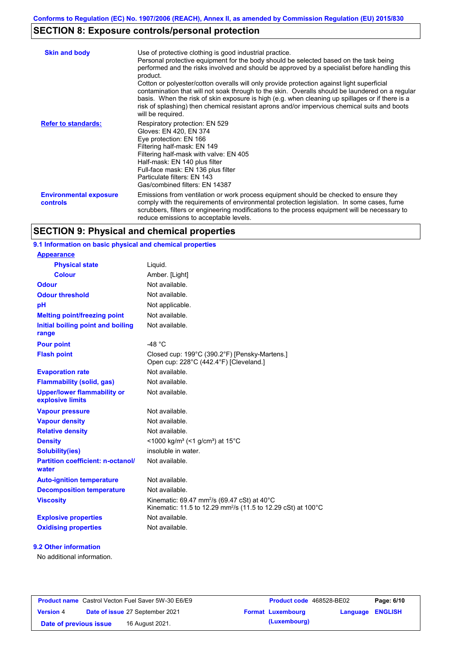# **SECTION 8: Exposure controls/personal protection**

| <b>Skin and body</b>                             | Use of protective clothing is good industrial practice.<br>Personal protective equipment for the body should be selected based on the task being<br>performed and the risks involved and should be approved by a specialist before handling this<br>product.<br>Cotton or polyester/cotton overalls will only provide protection against light superficial<br>contamination that will not soak through to the skin. Overalls should be laundered on a regular<br>basis. When the risk of skin exposure is high (e.g. when cleaning up spillages or if there is a<br>risk of splashing) then chemical resistant aprons and/or impervious chemical suits and boots<br>will be required. |
|--------------------------------------------------|---------------------------------------------------------------------------------------------------------------------------------------------------------------------------------------------------------------------------------------------------------------------------------------------------------------------------------------------------------------------------------------------------------------------------------------------------------------------------------------------------------------------------------------------------------------------------------------------------------------------------------------------------------------------------------------|
| <b>Refer to standards:</b>                       | Respiratory protection: EN 529<br>Gloves: EN 420, EN 374<br>Eye protection: EN 166<br>Filtering half-mask: EN 149<br>Filtering half-mask with valve: EN 405<br>Half-mask: EN 140 plus filter<br>Full-face mask: EN 136 plus filter<br>Particulate filters: EN 143<br>Gas/combined filters: EN 14387                                                                                                                                                                                                                                                                                                                                                                                   |
| <b>Environmental exposure</b><br><b>controls</b> | Emissions from ventilation or work process equipment should be checked to ensure they<br>comply with the requirements of environmental protection legislation. In some cases, fume<br>scrubbers, filters or engineering modifications to the process equipment will be necessary to<br>reduce emissions to acceptable levels.                                                                                                                                                                                                                                                                                                                                                         |

## **SECTION 9: Physical and chemical properties**

#### **Physical state** Liquid. **9.1 Information on basic physical and chemical properties Appearance**

| <b>Physical state</b>                                  | Liquid.                                                                                                                                        |
|--------------------------------------------------------|------------------------------------------------------------------------------------------------------------------------------------------------|
| <b>Colour</b>                                          | Amber. [Light]                                                                                                                                 |
| <b>Odour</b>                                           | Not available.                                                                                                                                 |
| <b>Odour threshold</b>                                 | Not available.                                                                                                                                 |
| pH                                                     | Not applicable.                                                                                                                                |
| <b>Melting point/freezing point</b>                    | Not available.                                                                                                                                 |
| Initial boiling point and boiling<br>range             | Not available.                                                                                                                                 |
| <b>Pour point</b>                                      | $-48 °C$                                                                                                                                       |
| <b>Flash point</b>                                     | Closed cup: 199°C (390.2°F) [Pensky-Martens.]<br>Open cup: 228°C (442.4°F) [Cleveland.]                                                        |
| <b>Evaporation rate</b>                                | Not available.                                                                                                                                 |
| <b>Flammability (solid, gas)</b>                       | Not available.                                                                                                                                 |
| <b>Upper/lower flammability or</b><br>explosive limits | Not available.                                                                                                                                 |
| <b>Vapour pressure</b>                                 | Not available.                                                                                                                                 |
| <b>Vapour density</b>                                  | Not available.                                                                                                                                 |
| <b>Relative density</b>                                | Not available.                                                                                                                                 |
| <b>Density</b>                                         | <1000 kg/m <sup>3</sup> (<1 g/cm <sup>3</sup> ) at 15 <sup>°</sup> C                                                                           |
| Solubility(ies)                                        | insoluble in water.                                                                                                                            |
| <b>Partition coefficient: n-octanol/</b><br>water      | Not available.                                                                                                                                 |
| <b>Auto-ignition temperature</b>                       | Not available.                                                                                                                                 |
| <b>Decomposition temperature</b>                       | Not available.                                                                                                                                 |
| <b>Viscosity</b>                                       | Kinematic: 69.47 mm <sup>2</sup> /s (69.47 cSt) at 40 $^{\circ}$ C<br>Kinematic: 11.5 to 12.29 mm <sup>2</sup> /s (11.5 to 12.29 cSt) at 100°C |
| <b>Explosive properties</b>                            | Not available.                                                                                                                                 |
| <b>Oxidising properties</b>                            | Not available.                                                                                                                                 |

#### **9.2 Other information**

No additional information.

| <b>Product name</b> Castrol Vecton Fuel Saver 5W-30 E6/E9 |  | <b>Product code</b> 468528-BE02        |                          | Page: 6/10              |  |
|-----------------------------------------------------------|--|----------------------------------------|--------------------------|-------------------------|--|
| <b>Version 4</b>                                          |  | <b>Date of issue 27 September 2021</b> | <b>Format Luxembourg</b> | <b>Language ENGLISH</b> |  |
| Date of previous issue                                    |  | 16 August 2021.                        | (Luxembourg)             |                         |  |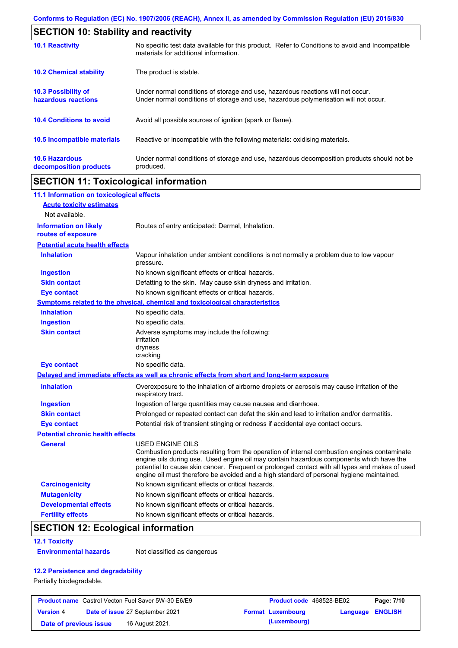|                                                   | <b>SECTION 10: Stability and reactivity</b>                                                                                                                             |  |  |  |
|---------------------------------------------------|-------------------------------------------------------------------------------------------------------------------------------------------------------------------------|--|--|--|
| <b>10.1 Reactivity</b>                            | No specific test data available for this product. Refer to Conditions to avoid and Incompatible<br>materials for additional information.                                |  |  |  |
| <b>10.2 Chemical stability</b>                    | The product is stable.                                                                                                                                                  |  |  |  |
| <b>10.3 Possibility of</b><br>hazardous reactions | Under normal conditions of storage and use, hazardous reactions will not occur.<br>Under normal conditions of storage and use, hazardous polymerisation will not occur. |  |  |  |
| <b>10.4 Conditions to avoid</b>                   | Avoid all possible sources of ignition (spark or flame).                                                                                                                |  |  |  |
| 10.5 Incompatible materials                       | Reactive or incompatible with the following materials: oxidising materials.                                                                                             |  |  |  |
| <b>10.6 Hazardous</b><br>decomposition products   | Under normal conditions of storage and use, hazardous decomposition products should not be<br>produced.                                                                 |  |  |  |

# **SECTION 11: Toxicological information**

| 11.1 Information on toxicological effects                                                                                                                                                                                                                                                                                                                                                                |
|----------------------------------------------------------------------------------------------------------------------------------------------------------------------------------------------------------------------------------------------------------------------------------------------------------------------------------------------------------------------------------------------------------|
|                                                                                                                                                                                                                                                                                                                                                                                                          |
|                                                                                                                                                                                                                                                                                                                                                                                                          |
| Routes of entry anticipated: Dermal, Inhalation.                                                                                                                                                                                                                                                                                                                                                         |
| <b>Potential acute health effects</b>                                                                                                                                                                                                                                                                                                                                                                    |
| Vapour inhalation under ambient conditions is not normally a problem due to low vapour<br>pressure.                                                                                                                                                                                                                                                                                                      |
| No known significant effects or critical hazards.                                                                                                                                                                                                                                                                                                                                                        |
| Defatting to the skin. May cause skin dryness and irritation.                                                                                                                                                                                                                                                                                                                                            |
| No known significant effects or critical hazards.                                                                                                                                                                                                                                                                                                                                                        |
| <b>Symptoms related to the physical, chemical and toxicological characteristics</b>                                                                                                                                                                                                                                                                                                                      |
| No specific data.                                                                                                                                                                                                                                                                                                                                                                                        |
| No specific data.                                                                                                                                                                                                                                                                                                                                                                                        |
| Adverse symptoms may include the following:<br>irritation<br>dryness<br>cracking                                                                                                                                                                                                                                                                                                                         |
| No specific data.                                                                                                                                                                                                                                                                                                                                                                                        |
| Delayed and immediate effects as well as chronic effects from short and long-term exposure                                                                                                                                                                                                                                                                                                               |
| Overexposure to the inhalation of airborne droplets or aerosols may cause irritation of the<br>respiratory tract.                                                                                                                                                                                                                                                                                        |
| Ingestion of large quantities may cause nausea and diarrhoea.                                                                                                                                                                                                                                                                                                                                            |
| Prolonged or repeated contact can defat the skin and lead to irritation and/or dermatitis.                                                                                                                                                                                                                                                                                                               |
| Potential risk of transient stinging or redness if accidental eye contact occurs.                                                                                                                                                                                                                                                                                                                        |
| <b>Potential chronic health effects</b>                                                                                                                                                                                                                                                                                                                                                                  |
| USED ENGINE OILS<br>Combustion products resulting from the operation of internal combustion engines contaminate<br>engine oils during use. Used engine oil may contain hazardous components which have the<br>potential to cause skin cancer. Frequent or prolonged contact with all types and makes of used<br>engine oil must therefore be avoided and a high standard of personal hygiene maintained. |
| No known significant effects or critical hazards.                                                                                                                                                                                                                                                                                                                                                        |
| No known significant effects or critical hazards.                                                                                                                                                                                                                                                                                                                                                        |
| No known significant effects or critical hazards.                                                                                                                                                                                                                                                                                                                                                        |
| No known significant effects or critical hazards.                                                                                                                                                                                                                                                                                                                                                        |
|                                                                                                                                                                                                                                                                                                                                                                                                          |

# **SECTION 12: Ecological information**

#### **12.1 Toxicity**

**Environmental hazards** Not classified as dangerous

### **12.2 Persistence and degradability**

Partially biodegradable.

| <b>Product name</b> Castrol Vecton Fuel Saver 5W-30 E6/E9 |  | <b>Product code</b> 468528-BE02        |                          | Page: 7/10              |  |
|-----------------------------------------------------------|--|----------------------------------------|--------------------------|-------------------------|--|
| <b>Version 4</b>                                          |  | <b>Date of issue 27 September 2021</b> | <b>Format Luxembourg</b> | <b>Language ENGLISH</b> |  |
| Date of previous issue                                    |  | 16 August 2021.                        | (Luxembourg)             |                         |  |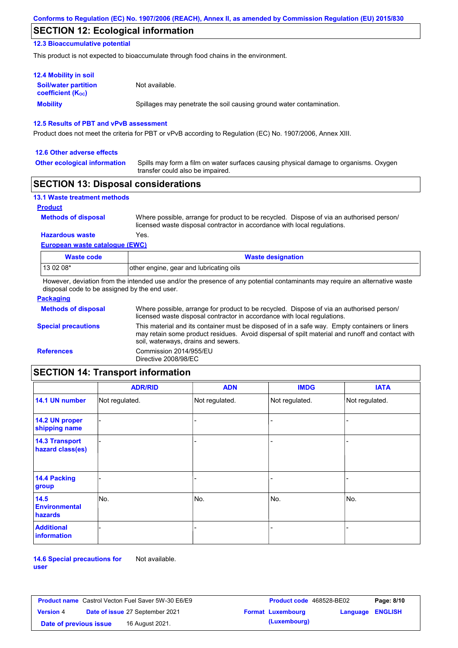## **SECTION 12: Ecological information**

### **12.3 Bioaccumulative potential**

This product is not expected to bioaccumulate through food chains in the environment.

| <b>12.4 Mobility in soil</b>                                  |                                                                      |
|---------------------------------------------------------------|----------------------------------------------------------------------|
| <b>Soil/water partition</b><br>coefficient (K <sub>oc</sub> ) | Not available.                                                       |
| <b>Mobility</b>                                               | Spillages may penetrate the soil causing ground water contamination. |

#### **12.5 Results of PBT and vPvB assessment**

Product does not meet the criteria for PBT or vPvB according to Regulation (EC) No. 1907/2006, Annex XIII.

#### **12.6 Other adverse effects**

**Other ecological information**

Spills may form a film on water surfaces causing physical damage to organisms. Oxygen transfer could also be impaired.

### **SECTION 13: Disposal considerations**

| <b>13.1 Waste treatment methods</b> |                                                                                                                                                                      |
|-------------------------------------|----------------------------------------------------------------------------------------------------------------------------------------------------------------------|
| <b>Product</b>                      |                                                                                                                                                                      |
| <b>Methods of disposal</b>          | Where possible, arrange for product to be recycled. Dispose of via an authorised person/<br>licensed waste disposal contractor in accordance with local regulations. |
| <b>Hazardous waste</b>              | Yes.                                                                                                                                                                 |
| European waste catalogue (EWC)      |                                                                                                                                                                      |

| Waste code | <b>Waste designation</b>                |  |  |
|------------|-----------------------------------------|--|--|
| $1130208*$ | other engine, gear and lubricating oils |  |  |

However, deviation from the intended use and/or the presence of any potential contaminants may require an alternative waste disposal code to be assigned by the end user.

| <b>Packaging</b>           |                                                                                                                                                                                                                                         |
|----------------------------|-----------------------------------------------------------------------------------------------------------------------------------------------------------------------------------------------------------------------------------------|
| <b>Methods of disposal</b> | Where possible, arrange for product to be recycled. Dispose of via an authorised person/<br>licensed waste disposal contractor in accordance with local regulations.                                                                    |
| <b>Special precautions</b> | This material and its container must be disposed of in a safe way. Empty containers or liners<br>may retain some product residues. Avoid dispersal of spilt material and runoff and contact with<br>soil, waterways, drains and sewers. |
| <b>References</b>          | Commission 2014/955/EU<br>Directive 2008/98/EC                                                                                                                                                                                          |

# **SECTION 14: Transport information**

|                                           | <b>ADR/RID</b> | <b>ADN</b>     | <b>IMDG</b>    | <b>IATA</b>    |
|-------------------------------------------|----------------|----------------|----------------|----------------|
| 14.1 UN number                            | Not regulated. | Not regulated. | Not regulated. | Not regulated. |
| 14.2 UN proper<br>shipping name           |                |                |                |                |
| <b>14.3 Transport</b><br>hazard class(es) |                |                |                |                |
| 14.4 Packing<br>group                     |                |                |                |                |
| 14.5<br><b>Environmental</b><br>hazards   | No.            | No.            | No.            | No.            |
| <b>Additional</b><br>information          |                |                |                |                |

**14.6 Special precautions for user** Not available.

| <b>Product name</b> Castrol Vecton Fuel Saver 5W-30 E6/E9 |  |                                        | <b>Product code</b> 468528-BE02 | Page: 8/10               |                         |  |
|-----------------------------------------------------------|--|----------------------------------------|---------------------------------|--------------------------|-------------------------|--|
| <b>Version 4</b>                                          |  | <b>Date of issue 27 September 2021</b> |                                 | <b>Format Luxembourg</b> | <b>Language ENGLISH</b> |  |
| Date of previous issue                                    |  | 16 August 2021.                        |                                 | (Luxembourg)             |                         |  |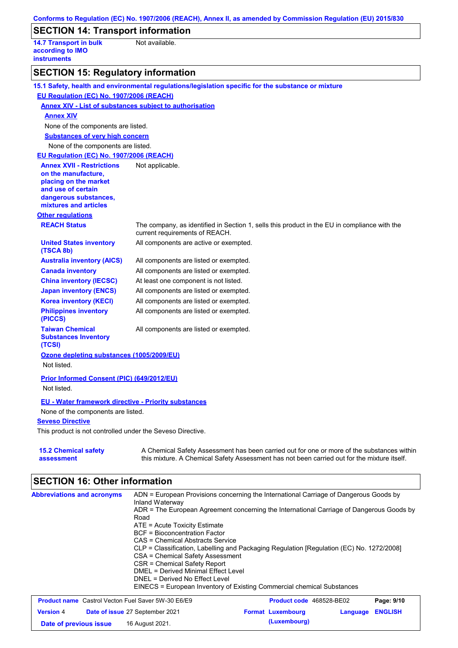| <b>SECTION 14: Transport information</b>                                | Conforms to Regulation (EC) No. 1907/2006 (REACH), Annex II, as amended by Commission Regulation (EU) 2015/830                                                                                       |
|-------------------------------------------------------------------------|------------------------------------------------------------------------------------------------------------------------------------------------------------------------------------------------------|
|                                                                         |                                                                                                                                                                                                      |
| <b>14.7 Transport in bulk</b><br>according to IMO<br><b>instruments</b> | Not available.                                                                                                                                                                                       |
| <b>SECTION 15: Regulatory information</b>                               |                                                                                                                                                                                                      |
|                                                                         | 15.1 Safety, health and environmental regulations/legislation specific for the substance or mixture                                                                                                  |
| EU Regulation (EC) No. 1907/2006 (REACH)                                |                                                                                                                                                                                                      |
|                                                                         | <b>Annex XIV - List of substances subject to authorisation</b>                                                                                                                                       |
|                                                                         |                                                                                                                                                                                                      |
| <b>Annex XIV</b>                                                        |                                                                                                                                                                                                      |
| None of the components are listed.                                      |                                                                                                                                                                                                      |
| <b>Substances of very high concern</b>                                  |                                                                                                                                                                                                      |
| None of the components are listed.                                      |                                                                                                                                                                                                      |
| EU Regulation (EC) No. 1907/2006 (REACH)                                |                                                                                                                                                                                                      |
| <b>Annex XVII - Restrictions</b><br>on the manufacture,                 | Not applicable.                                                                                                                                                                                      |
| placing on the market                                                   |                                                                                                                                                                                                      |
| and use of certain                                                      |                                                                                                                                                                                                      |
| dangerous substances,<br>mixtures and articles                          |                                                                                                                                                                                                      |
| <b>Other regulations</b>                                                |                                                                                                                                                                                                      |
| <b>REACH Status</b>                                                     | The company, as identified in Section 1, sells this product in the EU in compliance with the<br>current requirements of REACH.                                                                       |
| <b>United States inventory</b><br>(TSCA 8b)                             | All components are active or exempted.                                                                                                                                                               |
| <b>Australia inventory (AICS)</b>                                       | All components are listed or exempted.                                                                                                                                                               |
| <b>Canada inventory</b>                                                 | All components are listed or exempted.                                                                                                                                                               |
| <b>China inventory (IECSC)</b>                                          | At least one component is not listed.                                                                                                                                                                |
| <b>Japan inventory (ENCS)</b>                                           | All components are listed or exempted.                                                                                                                                                               |
| <b>Korea inventory (KECI)</b>                                           | All components are listed or exempted.                                                                                                                                                               |
| <b>Philippines inventory</b><br>(PICCS)                                 | All components are listed or exempted.                                                                                                                                                               |
| <b>Taiwan Chemical</b><br><b>Substances Inventory</b><br>(TCSI)         | All components are listed or exempted.                                                                                                                                                               |
| Ozone depleting substances (1005/2009/EU)<br>Not listed.                |                                                                                                                                                                                                      |
| <b>Prior Informed Consent (PIC) (649/2012/EU)</b><br>Not listed.        |                                                                                                                                                                                                      |
|                                                                         |                                                                                                                                                                                                      |
| <b>EU - Water framework directive - Priority substances</b>             |                                                                                                                                                                                                      |
| None of the components are listed.                                      |                                                                                                                                                                                                      |
| <b>Seveso Directive</b>                                                 |                                                                                                                                                                                                      |
| This product is not controlled under the Seveso Directive.              |                                                                                                                                                                                                      |
| <b>15.2 Chemical safety</b><br>assessment                               | A Chemical Safety Assessment has been carried out for one or more of the substances within<br>this mixture. A Chemical Safety Assessment has not been carried out for the mixture itself.            |
| <b>SECTION 16: Other information</b>                                    |                                                                                                                                                                                                      |
| <b>Abbreviations and acronyms</b>                                       | ADN = European Provisions concerning the International Carriage of Dangerous Goods by<br>Inland Waterway<br>ADR = The European Agreement concerning the International Carriage of Dangerous Goods by |

- Road
- ATE = Acute Toxicity Estimate
- BCF = Bioconcentration Factor CAS = Chemical Abstracts Service
- CLP = Classification, Labelling and Packaging Regulation [Regulation (EC) No. 1272/2008]
- CSA = Chemical Safety Assessment
- CSR = Chemical Safety Report
- DMEL = Derived Minimal Effect Level

```
DNEL = Derived No Effect Level
EINECS = European Inventory of Existing Commercial chemical Substances
```

| <b>Product name</b> Castrol Vecton Fuel Saver 5W-30 E6/E9 |  |                                 | Product code 468528-BE02 |                          | Page: 9/10       |  |
|-----------------------------------------------------------|--|---------------------------------|--------------------------|--------------------------|------------------|--|
| <b>Version 4</b>                                          |  | Date of issue 27 September 2021 |                          | <b>Format Luxembourg</b> | Language ENGLISH |  |
| Date of previous issue                                    |  | 16 August 2021.                 |                          | (Luxembourg)             |                  |  |